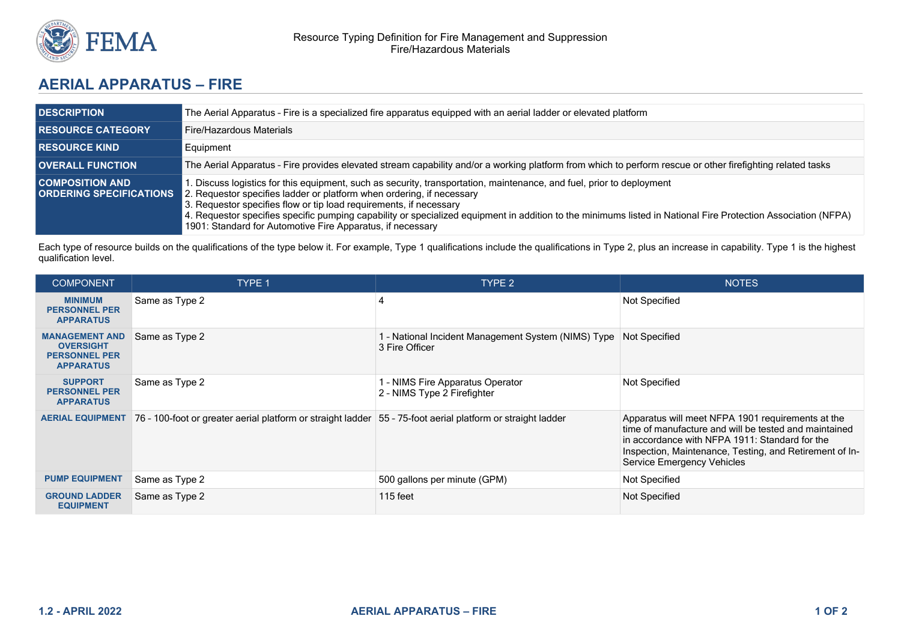

## **AERIAL APPARATUS – FIRE**

| <b>DESCRIPTION</b>                                         | The Aerial Apparatus - Fire is a specialized fire apparatus equipped with an aerial ladder or elevated platform                                                                                                                                                                                                                                                                                                                                                                                     |  |  |
|------------------------------------------------------------|-----------------------------------------------------------------------------------------------------------------------------------------------------------------------------------------------------------------------------------------------------------------------------------------------------------------------------------------------------------------------------------------------------------------------------------------------------------------------------------------------------|--|--|
| <b>RESOURCE CATEGORY</b>                                   | Fire/Hazardous Materials                                                                                                                                                                                                                                                                                                                                                                                                                                                                            |  |  |
| <b>I RESOURCE KIND</b>                                     | Equipment                                                                                                                                                                                                                                                                                                                                                                                                                                                                                           |  |  |
| <b>OVERALL FUNCTION</b>                                    | The Aerial Apparatus - Fire provides elevated stream capability and/or a working platform from which to perform rescue or other firefighting related tasks                                                                                                                                                                                                                                                                                                                                          |  |  |
| <b>COMPOSITION AND</b><br><b>I ORDERING SPECIFICATIONS</b> | 1. Discuss logistics for this equipment, such as security, transportation, maintenance, and fuel, prior to deployment<br>2. Requestor specifies ladder or platform when ordering, if necessary<br>3. Requestor specifies flow or tip load requirements, if necessary<br>4. Requestor specifies specific pumping capability or specialized equipment in addition to the minimums listed in National Fire Protection Association (NFPA)<br>1901: Standard for Automotive Fire Apparatus, if necessary |  |  |

Each type of resource builds on the qualifications of the type below it. For example, Type 1 qualifications include the qualifications in Type 2, plus an increase in capability. Type 1 is the highest qualification level.

| <b>COMPONENT</b>                                                                      | TYPE 1                                                                                                        | <b>TYPE 2</b>                                                                       | <b>NOTES</b>                                                                                                                                                                                                                                          |
|---------------------------------------------------------------------------------------|---------------------------------------------------------------------------------------------------------------|-------------------------------------------------------------------------------------|-------------------------------------------------------------------------------------------------------------------------------------------------------------------------------------------------------------------------------------------------------|
| <b>MINIMUM</b><br><b>PERSONNEL PER</b><br><b>APPARATUS</b>                            | Same as Type 2                                                                                                |                                                                                     | Not Specified                                                                                                                                                                                                                                         |
| <b>MANAGEMENT AND</b><br><b>OVERSIGHT</b><br><b>PERSONNEL PER</b><br><b>APPARATUS</b> | Same as Type 2                                                                                                | 1 - National Incident Management System (NIMS) Type Not Specified<br>3 Fire Officer |                                                                                                                                                                                                                                                       |
| <b>SUPPORT</b><br><b>PERSONNEL PER</b><br><b>APPARATUS</b>                            | Same as Type 2                                                                                                | - NIMS Fire Apparatus Operator<br>2 - NIMS Type 2 Firefighter                       | Not Specified                                                                                                                                                                                                                                         |
| <b>AERIAL EQUIPMENT</b>                                                               | 76 - 100-foot or greater aerial platform or straight ladder   55 - 75-foot aerial platform or straight ladder |                                                                                     | Apparatus will meet NFPA 1901 requirements at the<br>time of manufacture and will be tested and maintained<br>in accordance with NFPA 1911: Standard for the<br>Inspection, Maintenance, Testing, and Retirement of In-<br>Service Emergency Vehicles |
| <b>PUMP EQUIPMENT</b>                                                                 | Same as Type 2                                                                                                | 500 gallons per minute (GPM)                                                        | Not Specified                                                                                                                                                                                                                                         |
| <b>GROUND LADDER</b><br><b>EQUIPMENT</b>                                              | Same as Type 2                                                                                                | $115$ feet                                                                          | Not Specified                                                                                                                                                                                                                                         |